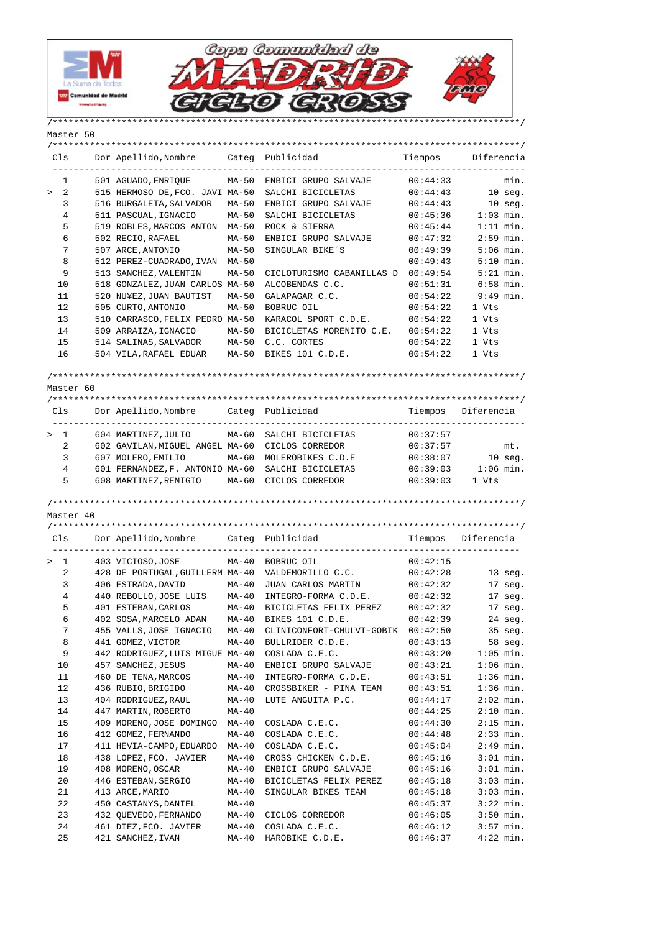

Master 50



/\*\*\*\*\*\*\*\*\*\*\*\*\*\*\*\*\*\*\*\*\*\*\*\*\*\*\*\*\*\*\*\*\*\*\*\*\*\*\*\*\*\*\*\*\*\*\*\*\*\*\*\*\*\*\*\*\*\*\*\*\*\*\*\*\*\*\*\*\*\*\*\*\*\*\*\*\*\*\*\*\*\*\*\*\*\*\*\*/ Cls Dor Apellido,Nombre Categ Publicidad Tiempos Diferencia ----------------------------------------------------------------------------------------- 1 501 AGUADO,ENRIQUE MA-50 ENBICI GRUPO SALVAJE 00:44:33 min. > 2 515 HERMOSO DE,FCO. JAVI MA-50 SALCHI BICICLETAS 00:44:43 10 seg. 3 516 BURGALETA,SALVADOR MA-50 ENBICI GRUPO SALVAJE 00:44:43 10 seg. 4 511 PASCUAL,IGNACIO MA-50 SALCHI BICICLETAS 00:45:36 1:03 min. 5 519 ROBLES,MARCOS ANTON MA-50 ROCK & SIERRA 00:45:44 1:11 min. 6 502 RECIO,RAFAEL MA-50 ENBICI GRUPO SALVAJE 00:47:32 2:59 min. 7 507 ARCE,ANTONIO MA-50 SINGULAR BIKE´S 00:49:39 5:06 min. 8 512 PEREZ-CUADRADO,IVAN MA-50 00:49:43 5:10 min. 9 513 SANCHEZ,VALENTIN MA-50 CICLOTURISMO CABANILLAS D 00:49:54 5:21 min. 10 518 GONZALEZ,JUAN CARLOS MA-50 ALCOBENDAS C.C. 00:51:31 6:58 min.<br>11 520 NU¥EZ,JUAN BAUTIST MA-50 GALAPAGAR C.C. 00:54:22 9:49 min. 11 520 NU¥EZ,JUAN BAUTIST MA-50 GALAPAGAR C.C. 00:54:22 9:49 min.<br>12 505 CURTO,ANTONIO MA-50 BOBRUC OIL 00:54:22 1 Vts 12 505 CURTO,ANTONIO MA-50 BOBRUC OIL 00:54:22 1 Vts 13 510 CARRASCO,FELIX PEDRO MA-50 KARACOL SPORT C.D.E. 00:54:22 1 Vts 14 509 ARRAIZA,IGNACIO MA-50 BICICLETAS MORENITO C.E. 00:54:22 1 Vts 15 514 SALINAS,SALVADOR MA-50 C.C. CORTES 00:54:22 1 Vts 16 504 VILA,RAFAEL EDUAR MA-50 BIKES 101 C.D.E. 00:54:22 1 Vts /\*\*\*\*\*\*\*\*\*\*\*\*\*\*\*\*\*\*\*\*\*\*\*\*\*\*\*\*\*\*\*\*\*\*\*\*\*\*\*\*\*\*\*\*\*\*\*\*\*\*\*\*\*\*\*\*\*\*\*\*\*\*\*\*\*\*\*\*\*\*\*\*\*\*\*\*\*\*\*\*\*\*\*\*\*\*\*\*/ Master 60 /\*\*\*\*\*\*\*\*\*\*\*\*\*\*\*\*\*\*\*\*\*\*\*\*\*\*\*\*\*\*\*\*\*\*\*\*\*\*\*\*\*\*\*\*\*\*\*\*\*\*\*\*\*\*\*\*\*\*\*\*\*\*\*\*\*\*\*\*\*\*\*\*\*\*\*\*\*\*\*\*\*\*\*\*\*\*\*\*/ Cls Dor Apellido,Nombre Categ Publicidad Tiempos Diferencia ----------------------------------------------------------------------------------------- > 1 604 MARTINEZ,JULIO MA-60 SALCHI BICICLETAS 00:37:57 2 602 GAVILAN, MIGUEL ANGEL MA-60 CICLOS CORREDOR 00:37:57 mt.<br>3 607 MOLERO, EMILIO MA-60 MOLEROBIKES C.D.E 00:38:07 10 seg. 3 607 MOLERO, EMILIO MA-60 MOLEROBIKES C.D.E 00:38:07 4 601 FERNANDEZ,F. ANTONIO MA-60 SALCHI BICICLETAS 00:39:03 1:06 min. 5 608 MARTINEZ,REMIGIO MA-60 CICLOS CORREDOR 00:39:03 1 Vts /\*\*\*\*\*\*\*\*\*\*\*\*\*\*\*\*\*\*\*\*\*\*\*\*\*\*\*\*\*\*\*\*\*\*\*\*\*\*\*\*\*\*\*\*\*\*\*\*\*\*\*\*\*\*\*\*\*\*\*\*\*\*\*\*\*\*\*\*\*\*\*\*\*\*\*\*\*\*\*\*\*\*\*\*\*\*\*\*/ Master 40 /\*\*\*\*\*\*\*\*\*\*\*\*\*\*\*\*\*\*\*\*\*\*\*\*\*\*\*\*\*\*\*\*\*\*\*\*\*\*\*\*\*\*\*\*\*\*\*\*\*\*\*\*\*\*\*\*\*\*\*\*\*\*\*\*\*\*\*\*\*\*\*\*\*\*\*\*\*\*\*\*\*\*\*\*\*\*\*\*/ Cls Dor Apellido, Nombre Categ Publicidad ---------------------------------------------------------------------------------------- > 1 403 VICIOSO,JOSE MA-40 BOBRUC OIL 00:42:15 2 428 DE PORTUGAL,GUILLERM MA-40 VALDEMORILLO C.C. 00:42:28 13 seg. 3 406 ESTRADA,DAVID MA-40 JUAN CARLOS MARTIN 00:42:32 17 seg. 4 440 REBOLLO,JOSE LUIS MA-40 INTEGRO-FORMA C.D.E. 00:42:32 17 seg. 1 440 REBOLLO, JOSE LUIS MA-40 INTEGRO-FORMA CIPILI<br>5 401 ESTEBAN, CARLOS MA-40 BICICLETAS FELIX PEREZ 00:42:32 17 seg.<br>100:42:39 24 seg. 6 402 SOSA,MARCELO ADAN MA-40 BIKES 101 C.D.E. 00:42:39 24 seg. 7 455 VALLS,JOSE IGNACIO MA-40 CLINICONFORT-CHULVI-GOBIK 00:42:50 35 seg. 8 441 GOMEZ,VICTOR MA-40 BULLRIDER C.D.E. 00:43:13 58 seg. 9 442 RODRIGUEZ, LUIS MIGUE MA-40 COSLADA C.E.C. 00:43:20 1:05 min.<br>10 457 SANCHEZ, JESUS MA-40 ENBICI GRUPO SALVAJE 00:43:21 1:06 min.<br>11 460 DE TENA, MARCOS MA-40 INTEGRO-FORMA C.D.E. 00:43:51 1:36 min. 10 457 SANCHEZ, JESUS MA-40 ENBICI GRUPO SALVAJE 00:43:21 11 460 DE TENA, MARCOS MA-40 INTEGRO-FORMA C.D.E. 00:43:51 12 136 RUBIO,BRIGIDO 1 MA-40 CROSSBIKER – PINA TEAM 190:43:51 1:36 min.<br>13 104 RODRIGUEZ,RAUL 1MA-40 LUTE ANGUITA P.C. 190:44:17 2:02 min. 13 404 RODRIGUEZ,RAUL MA-40 LUTE ANGUITA P.C. 00:44:17 2:02 min. 14 447 MARTIN,ROBERTO MA-40 00:44:25 2:10 min. 15 409 MORENO,JOSE DOMINGO MA-40 COSLADA C.E.C. 00:44:30 2:15 min. 16 412 GOMEZ, FERNANDO MA-40 COSLADA C.E.C. 00:44:48 17 411 HEVIA-CAMPO,EDUARDO MA-40 COSLADA C.E.C. 00:45:04 2:49 min. 18 438 LOPEZ,FCO. JAVIER MA-40 CROSS CHICKEN C.D.E. 00:45:16 3:01 min. 19 408 MORENO,OSCAR MA-40 ENBICI GRUPO SALVAJE 00:45:16 3:01 min. 20 446 ESTEBAN,SERGIO MA-40 BICICLETAS FELIX PEREZ 00:45:18 3:03 min. 21 413 ARCE,MARIO MA-40 SINGULAR BIKES TEAM 00:45:18 3:03 min. 22 450 CASTANYS,DANIEL MA-40 00:45:37 3:22 min. 23 432 QUEVEDO,FERNANDO MA-40 CICLOS CORREDOR 00:46:05 3:50 min. 24 461 DIEZ, FCO. JAVIER MA-40 COSLADA C.E.C. 00:46:12

25 421 SANCHEZ,IVAN MA-40 HAROBIKE C.D.E. 00:46:37 4:22 min.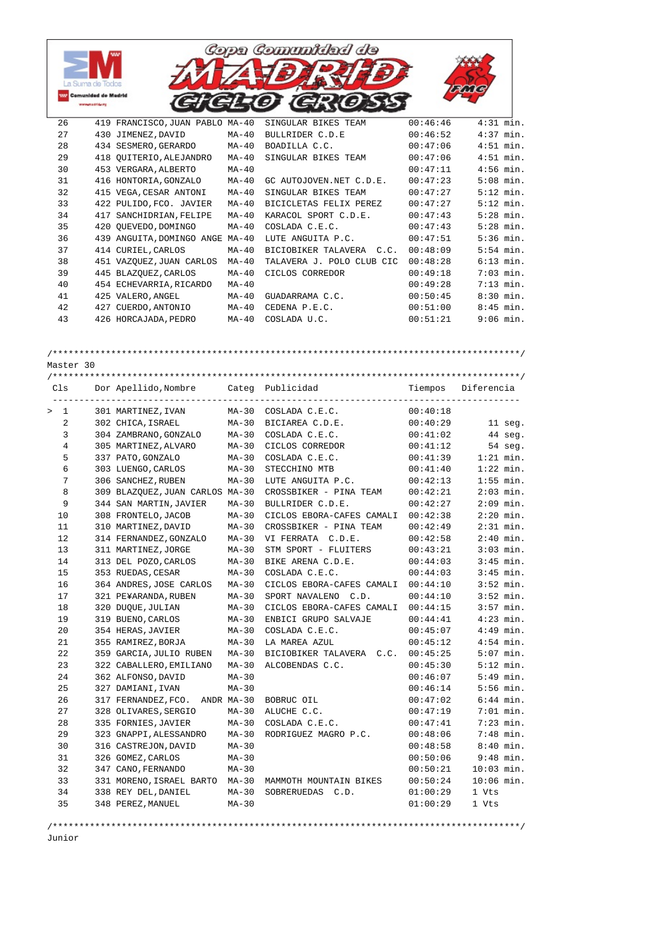

| $\geq$ | $\mathbf{1}$ | 301 MARTINEZ, IVAN              | MA-30   | COSLADA C.E.C.            | 00:40:18 |              |
|--------|--------------|---------------------------------|---------|---------------------------|----------|--------------|
|        | 2            | 302 CHICA, ISRAEL               | $MA-30$ | BICIAREA C.D.E.           | 00:40:29 | 11 seg.      |
|        | 3            | 304 ZAMBRANO, GONZALO           | $MA-30$ | COSLADA C.E.C.            | 00:41:02 | 44 seg.      |
|        | 4            | 305 MARTINEZ, ALVARO            | $MA-30$ | CICLOS CORREDOR           | 00:41:12 | 54 seg.      |
|        | 5            | 337 PATO, GONZALO               | $MA-30$ | COSLADA C.E.C.            | 00:41:39 | $1:21$ min.  |
|        | 6            | 303 LUENGO, CARLOS              | $MA-30$ | STECCHINO MTB             | 00:41:40 | $1:22$ min.  |
|        | 7            | 306 SANCHEZ, RUBEN              | $MA-30$ | LUTE ANGUITA P.C.         | 00:42:13 | $1:55$ min.  |
|        | 8            | 309 BLAZQUEZ, JUAN CARLOS MA-30 |         | CROSSBIKER - PINA TEAM    | 00:42:21 | $2:03$ min.  |
|        | 9            | 344 SAN MARTIN, JAVIER          | $MA-30$ | BULLRIDER C.D.E.          | 00:42:27 | $2:09$ min.  |
|        | 10           | 308 FRONTELO, JACOB             | $MA-30$ | CICLOS EBORA-CAFES CAMALI | 00:42:38 | $2:20$ min.  |
|        | 11           | 310 MARTINEZ, DAVID             | $MA-30$ | CROSSBIKER - PINA TEAM    | 00:42:49 | $2:31$ min.  |
|        | 12           | 314 FERNANDEZ, GONZALO          | $MA-30$ | VI FERRATA C.D.E.         | 00:42:58 | $2:40$ min.  |
|        | 13           | 311 MARTINEZ, JORGE             | $MA-30$ | STM SPORT - FLUITERS      | 00:43:21 | $3:03$ min.  |
|        | 14           | 313 DEL POZO, CARLOS            | $MA-30$ | BIKE ARENA C.D.E.         | 00:44:03 | $3:45$ min.  |
|        | 15           | 353 RUEDAS, CESAR               | $MA-30$ | COSLADA C.E.C.            | 00:44:03 | $3:45$ min.  |
|        | 16           | 364 ANDRES, JOSE CARLOS         | $MA-30$ | CICLOS EBORA-CAFES CAMALI | 00:44:10 | $3:52$ min.  |
|        | 17           | 321 PE¥ARANDA, RUBEN            | $MA-30$ | SPORT NAVALENO C.D.       | 00:44:10 | $3:52$ min.  |
|        | 18           | 320 DUOUE, JULIAN               | MA-30   | CICLOS EBORA-CAFES CAMALI | 00:44:15 | $3:57$ min.  |
|        | 19           | 319 BUENO, CARLOS               | $MA-30$ | ENBICI GRUPO SALVAJE      | 00:44:41 | $4:23$ min.  |
|        | 20           | 354 HERAS, JAVIER               | $MA-30$ | COSLADA C.E.C.            | 00:45:07 | $4:49$ min.  |
|        | 21           | 355 RAMIREZ, BORJA              | $MA-30$ | LA MAREA AZUL             | 00:45:12 | $4:54$ min.  |
|        | 22           | 359 GARCIA, JULIO RUBEN         | MA-30   | BICIOBIKER TALAVERA C.C.  | 00:45:25 | $5:07$ min.  |
|        | 23           | 322 CABALLERO, EMILIANO         | $MA-30$ | ALCOBENDAS C.C.           | 00:45:30 | $5:12$ min.  |
|        | 24           | 362 ALFONSO, DAVID              | $MA-30$ |                           | 00:46:07 | $5:49$ min.  |
|        | 25           | 327 DAMIANI, IVAN               | $MA-30$ |                           | 00:46:14 | $5:56$ min.  |
|        | 26           | 317 FERNANDEZ, FCO. ANDR MA-30  |         | BOBRUC OIL                | 00:47:02 | $6:44$ min.  |
|        | 27           | 328 OLIVARES, SERGIO            | $MA-30$ | ALUCHE C.C.               | 00:47:19 | $7:01$ min.  |
|        | 28           | 335 FORNIES, JAVIER             | $MA-30$ | COSLADA C.E.C.            | 00:47:41 | $7:23$ min.  |
|        | 29           | 323 GNAPPI, ALESSANDRO          | $MA-30$ | RODRIGUEZ MAGRO P.C.      | 00:48:06 | $7:48$ min.  |
|        | 30           | 316 CASTREJON, DAVID            | $MA-30$ |                           | 00:48:58 | $8:40$ min.  |
|        | 31           | 326 GOMEZ, CARLOS               | $MA-30$ |                           | 00:50:06 | $9:48$ min.  |
|        | 32           | 347 CANO, FERNANDO              | $MA-30$ |                           | 00:50:21 | $10:03$ min. |
|        | 33           | 331 MORENO, ISRAEL BARTO        | MA-30   | MAMMOTH MOUNTAIN BIKES    | 00:50:24 | $10:06$ min. |
|        | 34           | 338 REY DEL, DANIEL             | $MA-30$ | SOBRERUEDAS C.D.          | 01:00:29 | 1 Vts        |
|        | 35           | 348 PEREZ, MANUEL               | $MA-30$ |                           | 01:00:29 | 1 Vts        |
|        |              |                                 |         |                           |          |              |

/\*\*\*\*\*\*\*\*\*\*\*\*\*\*\*\*\*\*\*\*\*\*\*\*\*\*\*\*\*\*\*\*\*\*\*\*\*\*\*\*\*\*\*\*\*\*\*\*\*\*\*\*\*\*\*\*\*\*\*\*\*\*\*\*\*\*\*\*\*\*\*\*\*\*\*\*\*\*\*\*\*\*\*\*\*\*\*\*/

Junior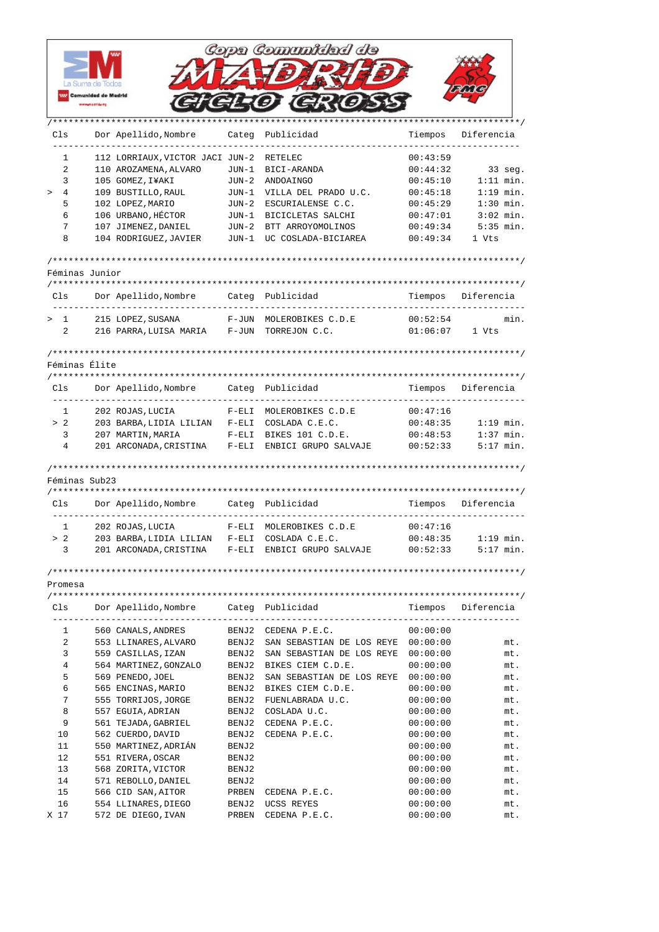|                        |                                              |                                               |                    | Copa Comunidad de                                             |          |                    |
|------------------------|----------------------------------------------|-----------------------------------------------|--------------------|---------------------------------------------------------------|----------|--------------------|
|                        | La Suma de Todos                             |                                               |                    |                                                               |          |                    |
|                        | <b>Comunidad de Madrid</b><br>www.madrid.crc |                                               |                    |                                                               |          |                    |
|                        |                                              |                                               |                    |                                                               |          |                    |
| Cls                    |                                              | Dor Apellido, Nombre                          |                    | Categ Publicidad                                              | Tiempos  | Diferencia         |
| 1                      |                                              | 112 LORRIAUX, VICTOR JACI JUN-2               |                    | RETELEC                                                       | 00:43:59 |                    |
| 2                      |                                              | 110 AROZAMENA, ALVARO                         | JUN-1              | BICI-ARANDA                                                   | 00:44:32 | $33$ seg.          |
| 3                      |                                              | 105 GOMEZ, I¥AKI                              |                    | JUN-2 ANDOAINGO                                               | 00:45:10 | $1:11$ min.        |
| 4<br>$\, >$            |                                              | 109 BUSTILLO, RAUL                            |                    | JUN-1 VILLA DEL PRADO U.C.                                    | 00:45:18 | $1:19$ min.        |
| 5                      |                                              | 102 LOPEZ, MARIO                              | JUN-2              | ESCURIALENSE C.C.                                             | 00:45:29 | $1:30$ min.        |
| 6                      |                                              | 106 URBANO, HÉCTOR                            | JUN-1              | BICICLETAS SALCHI                                             | 00:47:01 | $3:02$ min.        |
| 7                      |                                              | 107 JIMENEZ, DANIEL                           | JUN-2              | BTT ARROYOMOLINOS                                             | 00:49:34 | $5:35$ min.        |
| 8                      |                                              | 104 RODRIGUEZ, JAVIER                         | JUN-1              | UC COSLADA-BICIAREA                                           | 00:49:34 | 1 Vts              |
|                        |                                              |                                               |                    |                                                               |          |                    |
| Féminas Junior         |                                              |                                               |                    |                                                               |          |                    |
|                        |                                              |                                               |                    |                                                               |          |                    |
| Cls                    |                                              | Dor Apellido, Nombre                          |                    | Categ Publicidad                                              | Tiempos  | Diferencia         |
| $\mathbf{1}$<br>$\geq$ |                                              | 215 LOPEZ, SUSANA                             | F-JUN              | MOLEROBIKES C.D.E                                             | 00:52:54 | min.               |
| 2                      |                                              | 216 PARRA, LUISA MARIA                        | F-JUN              | TORREJON C.C.                                                 | 01:06:07 | 1 Vts              |
|                        |                                              |                                               |                    |                                                               |          |                    |
| Féminas Élite          |                                              |                                               |                    |                                                               |          |                    |
|                        |                                              |                                               |                    |                                                               |          |                    |
| Cls                    |                                              | Dor Apellido, Nombre                          |                    | Categ Publicidad                                              | Tiempos  | Diferencia         |
| 1                      |                                              |                                               |                    |                                                               | 00:47:16 |                    |
| > 2                    |                                              | 202 ROJAS, LUCIA<br>203 BARBA, LIDIA LILIAN   | $F-ELI$<br>$F-ELI$ | MOLEROBIKES C.D.E<br>COSLADA C.E.C.                           | 00:48:35 | $1:19$ min.        |
| 3                      |                                              | 207 MARTIN, MARIA                             | $F-ELI$            | BIKES 101 C.D.E.                                              | 00:48:53 | $1:37$ min.        |
| 4                      |                                              | 201 ARCONADA, CRISTINA                        |                    | F-ELI ENBICI GRUPO SALVAJE                                    | 00:52:33 | $5:17$ min.        |
|                        |                                              |                                               |                    |                                                               |          |                    |
| Féminas Sub23          |                                              |                                               |                    |                                                               |          |                    |
|                        |                                              |                                               |                    |                                                               |          |                    |
|                        |                                              | Cls Dor Apellido, Nombre                      |                    | Categ Publicidad                                              | Tiempos  | Diferencia         |
| 1                      |                                              | 202 ROJAS, LUCIA                              |                    | F-ELI MOLEROBIKES C.D.E                                       | 00:47:16 |                    |
| > 2                    |                                              | 203 BARBA, LIDIA LILIAN F-ELI COSLADA C.E.C.  |                    |                                                               | 00:48:35 | $1:19$ min.        |
| 3                      |                                              |                                               |                    | 201 ARCONADA, CRISTINA F-ELI ENBICI GRUPO SALVAJE             | 00:52:33 | $5:17$ min.        |
|                        |                                              |                                               |                    |                                                               |          |                    |
| Promesa                |                                              |                                               |                    |                                                               |          |                    |
|                        |                                              |                                               |                    |                                                               |          |                    |
|                        |                                              | Cls Dor Apellido, Nombre Categ Publicidad     |                    |                                                               |          | Tiempos Diferencia |
| $\mathbf{1}$           |                                              |                                               |                    | BENJ2 CEDENA P.E.C.                                           | 00:00:00 |                    |
| 2                      |                                              | 560 CANALS, ANDRES                            |                    | 553 LLINARES, ALVARO BENJ2 SAN SEBASTIAN DE LOS REYE 00:00:00 |          | mt.                |
| 3                      |                                              | 559 CASILLAS, IZAN                            |                    | BENJ2 SAN SEBASTIAN DE LOS REYE 00:00:00                      |          | mt.                |
| 4                      |                                              | 564 MARTINEZ, GONZALO BENJ2 BIKES CIEM C.D.E. |                    |                                                               | 00:00:00 | mt.                |
| 5                      |                                              | 569 PENEDO, JOEL                              |                    | BENJ2 SAN SEBASTIAN DE LOS REYE 00:00:00                      |          | mt.                |
| 6                      |                                              | 565 ENCINAS, MARIO                            |                    | BENJ2 BIKES CIEM C.D.E.                                       | 00:00:00 | mt.                |
| 7                      |                                              | 555 TORRIJOS, JORGE                           |                    | BENJ2 FUENLABRADA U.C.                                        | 00:00:00 | mt.                |
| 8                      |                                              | 557 EGUIA, ADRIAN                             |                    | BENJ2 COSLADA U.C.                                            | 00:00:00 | mt.                |
| 9                      |                                              | 561 TEJADA, GABRIEL                           |                    | BENJ2 CEDENA P.E.C.                                           | 00:00:00 | mt.                |
| 10                     |                                              | 562 CUERDO, DAVID                             | BENJ 2             | CEDENA P.E.C.                                                 | 00:00:00 | mt.                |
| 11                     |                                              | 550 MARTINEZ, ADRIÁN                          | BENJ 2             |                                                               | 00:00:00 | mt.                |
| 12                     |                                              | 551 RIVERA, OSCAR                             | BENJ2              |                                                               | 00:00:00 | mt.                |
| 13                     |                                              | 568 ZORITA,VICTOR                             | BENJ2              |                                                               | 00:00:00 | mt.                |
| 14                     |                                              | 571 REBOLLO, DANIEL                           | BENJ2              |                                                               | 00:00:00 | mt.                |
| 15                     |                                              | 566 CID SAN,AITOR                             |                    | PRBEN CEDENA P.E.C.                                           | 00:00:00 | mt.                |
| 16                     |                                              | 554 LLINARES, DIEGO                           |                    | BENJ2 UCSS REYES                                              | 00:00:00 | mt.                |
| X 17                   |                                              | 572 DE DIEGO, IVAN                            |                    | PRBEN CEDENA P.E.C.                                           | 00:00:00 | mt.                |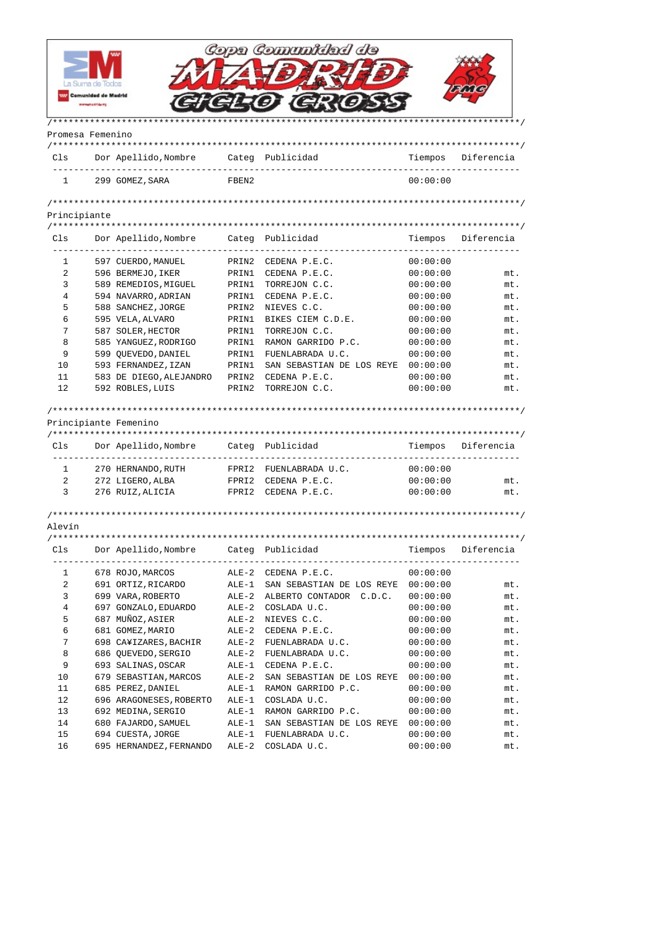|                  |                            |                                             |                | Copa Comunidad de                                            |                      |            |
|------------------|----------------------------|---------------------------------------------|----------------|--------------------------------------------------------------|----------------------|------------|
|                  |                            |                                             |                |                                                              |                      |            |
|                  |                            |                                             |                |                                                              |                      |            |
|                  | <b>Comunidad de Madrid</b> |                                             |                |                                                              |                      |            |
|                  |                            |                                             |                |                                                              |                      |            |
| Promesa Femenino |                            |                                             |                |                                                              |                      |            |
| Cls              |                            | Dor Apellido, Nombre                        |                | Categ Publicidad                                             | Tiempos              | Diferencia |
| $\mathbf{1}$     |                            | 299 GOMEZ, SARA                             | FBEN2          |                                                              | 00:00:00             |            |
|                  |                            |                                             |                |                                                              |                      |            |
| Principiante     |                            |                                             |                |                                                              |                      |            |
|                  |                            |                                             |                |                                                              |                      |            |
| Cls              |                            | Dor Apellido, Nombre                        |                | Categ Publicidad                                             | Tiempos              | Diferencia |
| 1                |                            | 597 CUERDO, MANUEL                          | PRIN2          | CEDENA P.E.C.                                                | 00:00:00             |            |
| 2                |                            | 596 BERMEJO, IKER                           | PRIN1          | CEDENA P.E.C.                                                | 00:00:00             | mt.        |
| 3                |                            | 589 REMEDIOS, MIGUEL                        | PRIN1          | TORREJON C.C.                                                | 00:00:00             | mt.        |
| 4                |                            | 594 NAVARRO, ADRIAN                         | PRIN1          | CEDENA P.E.C.                                                | 00:00:00             | mt.        |
| 5                |                            | 588 SANCHEZ, JORGE                          |                | PRIN2 NIEVES C.C.                                            | 00:00:00             | mt.        |
| 6                |                            | 595 VELA, ALVARO                            | PRIN1          | BIKES CIEM C.D.E.                                            | 00:00:00             | mt.        |
| 7                |                            | 587 SOLER, HECTOR                           | PRIN1          | TORREJON C.C.                                                | 00:00:00             | mt.        |
| 8                |                            | 585 YANGUEZ, RODRIGO                        | PRIN1          | RAMON GARRIDO P.C.                                           | 00:00:00             | mt.        |
| 9                |                            | 599 QUEVEDO, DANIEL                         | PRIN1          | FUENLABRADA U.C.                                             | 00:00:00             | mt.        |
| 10               |                            | 593 FERNANDEZ, IZAN                         | PRIN1          | SAN SEBASTIAN DE LOS REYE                                    | 00:00:00             | mt.        |
| 11<br>12         |                            | 583 DE DIEGO, ALEJANDRO<br>592 ROBLES, LUIS | PRIN2<br>PRIN2 | CEDENA P.E.C.<br>TORREJON C.C.                               | 00:00:00<br>00:00:00 | mt.<br>mt. |
|                  |                            | Principiante Femenino                       |                |                                                              |                      |            |
| Cls              |                            | Dor Apellido, Nombre Categ Publicidad       |                |                                                              | Tiempos              | Diferencia |
| $\mathbf{1}$     |                            | 270 HERNANDO, RUTH                          |                | FPRI2 FUENLABRADA U.C.                                       | 00:00:00             |            |
| $\overline{2}$   |                            | 272 LIGERO, ALBA                            |                | FPRI2 CEDENA P.E.C.                                          | 00:00:00             | mt.        |
| 3                |                            | 276 RUIZ, ALICIA                            |                | FPRI2 CEDENA P.E.C.                                          | 00:00:00             | mt.        |
| Alevín           |                            |                                             |                |                                                              |                      |            |
|                  |                            |                                             |                |                                                              |                      |            |
| Cls              |                            |                                             |                |                                                              |                      |            |
| $\mathbf{1}$     |                            | 678 ROJO,MARCOS                             |                | ALE-2 CEDENA P.E.C.                                          | 00:00:00             |            |
| 2                |                            |                                             |                | 691 ORTIZ, RICARDO ALE-1 SAN SEBASTIAN DE LOS REYE 00:00:00  |                      | mt.        |
| 3                |                            |                                             |                | 699 VARA, ROBERTO ALE-2 ALBERTO CONTADOR C.D.C.              | 00:00:00             | mt.        |
| 4                |                            | 697 GONZALO, EDUARDO                        |                | ALE-2 COSLADA U.C.                                           | 00:00:00             | mt.        |
| 5                |                            | 687 MUÑOZ, ASIER                            |                | ALE-2 NIEVES C.C.                                            | 00:00:00             | mt.        |
| 6                |                            | 681 GOMEZ, MARIO                            |                | ALE-2 CEDENA P.E.C.                                          | 00:00:00             | mt.        |
| 7                |                            |                                             |                | 698 CA¥IZARES, BACHIR ALE-2 FUENLABRADA U.C.                 | 00:00:00             | mt.        |
| 8                |                            | 686 QUEVEDO, SERGIO                         |                | ALE-2 FUENLABRADA U.C.                                       | 00:00:00             | mt.        |
| 9                |                            | 693 SALINAS,OSCAR                           |                |                                                              | 00:00:00             |            |
|                  |                            |                                             |                | ALE-1 CEDENA P.E.C.                                          |                      | mt.        |
| 10               |                            | 679 SEBASTIAN, MARCOS ALE-2                 |                | SAN SEBASTIAN DE LOS REYE 00:00:00                           |                      | mt.        |
| 11               |                            | 685 PEREZ, DANIEL                           |                | ALE-1 RAMON GARRIDO P.C.                                     | 00:00:00             | mt.        |
| 12               |                            | 696 ARAGONESES, ROBERTO ALE-1 COSLADA U.C.  |                |                                                              | 00:00:00             | mt.        |
| 13               |                            | 692 MEDINA, SERGIO                          |                | ALE-1 RAMON GARRIDO P.C.                                     | 00:00:00             | mt.        |
| 14               |                            |                                             |                | 680 FAJARDO, SAMUEL ALE-1 SAN SEBASTIAN DE LOS REYE 00:00:00 |                      | mt.        |
| 15               |                            | 694 CUESTA, JORGE ALE-1 FUENLABRADA U.C.    |                |                                                              | 00:00:00             | mt.        |
| 16               |                            | 695 HERNANDEZ, FERNANDO ALE-2 COSLADA U.C.  |                |                                                              | 00:00:00             | mt.        |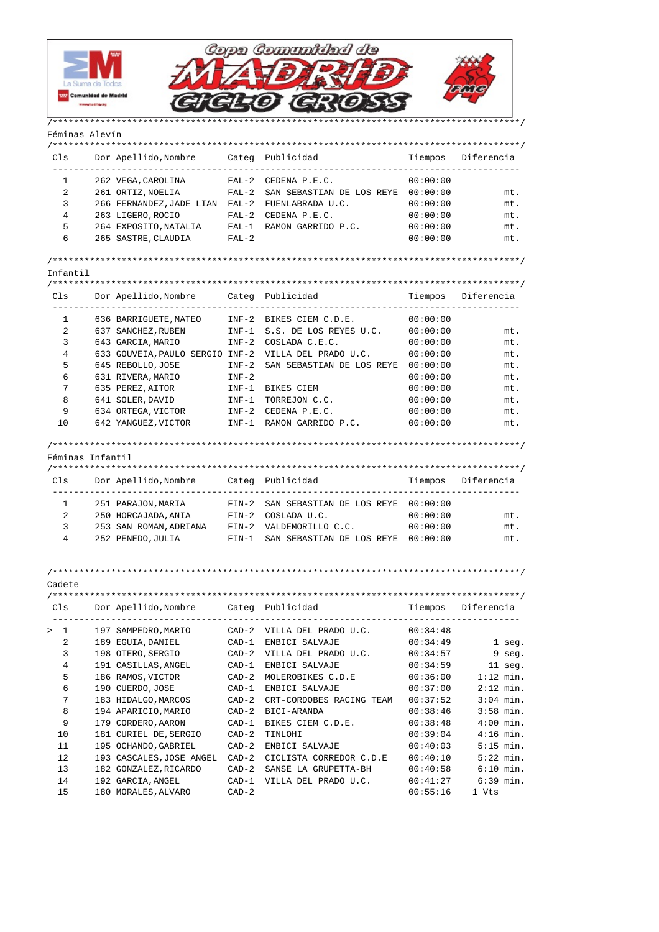